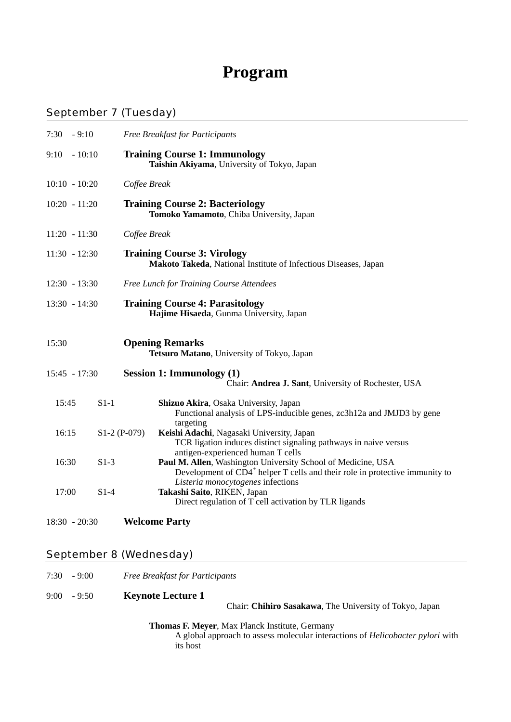# **Program**

#### September 7 (Tuesday)

| $7:30 - 9:10$   |               | Free Breakfast for Participants                                                                                                                                                              |
|-----------------|---------------|----------------------------------------------------------------------------------------------------------------------------------------------------------------------------------------------|
| 9:10            | $-10:10$      | <b>Training Course 1: Immunology</b><br>Taishin Akiyama, University of Tokyo, Japan                                                                                                          |
| $10:10 - 10:20$ |               | Coffee Break                                                                                                                                                                                 |
| $10:20 - 11:20$ |               | <b>Training Course 2: Bacteriology</b><br>Tomoko Yamamoto, Chiba University, Japan                                                                                                           |
| $11:20 - 11:30$ |               | Coffee Break                                                                                                                                                                                 |
| $11:30 - 12:30$ |               | <b>Training Course 3: Virology</b><br>Makoto Takeda, National Institute of Infectious Diseases, Japan                                                                                        |
| $12:30 - 13:30$ |               | Free Lunch for Training Course Attendees                                                                                                                                                     |
| $13:30 - 14:30$ |               | <b>Training Course 4: Parasitology</b><br>Hajime Hisaeda, Gunma University, Japan                                                                                                            |
| 15:30           |               | <b>Opening Remarks</b><br>Tetsuro Matano, University of Tokyo, Japan                                                                                                                         |
| 15:45 - 17:30   |               | <b>Session 1: Immunology (1)</b><br>Chair: Andrea J. Sant, University of Rochester, USA                                                                                                      |
| 15:45           | $S1-1$        | Shizuo Akira, Osaka University, Japan<br>Functional analysis of LPS-inducible genes, zc3h12a and JMJD3 by gene<br>targeting                                                                  |
| 16:15           | $S1-2(P-079)$ | Keishi Adachi, Nagasaki University, Japan<br>TCR ligation induces distinct signaling pathways in naive versus<br>antigen-experienced human T cells                                           |
| 16:30           | $S1-3$        | Paul M. Allen, Washington University School of Medicine, USA<br>Development of CD4 <sup>+</sup> helper T cells and their role in protective immunity to<br>Listeria monocytogenes infections |
| 17:00           | $S1-4$        | Takashi Saito, RIKEN, Japan<br>Direct regulation of T cell activation by TLR ligands                                                                                                         |
| $18:30 - 20:30$ |               | <b>Welcome Party</b>                                                                                                                                                                         |

## September 8 (Wednesday)

| 7:30 | $-9:00$       | <b>Free Breakfast for Participants</b>                                                                                                                     |
|------|---------------|------------------------------------------------------------------------------------------------------------------------------------------------------------|
|      | $9:00 - 9:50$ | <b>Keynote Lecture 1</b><br>Chair: Chihiro Sasakawa, The University of Tokyo, Japan                                                                        |
|      |               | <b>Thomas F. Meyer, Max Planck Institute, Germany</b><br>A global approach to assess molecular interactions of <i>Helicobacter pylori</i> with<br>its host |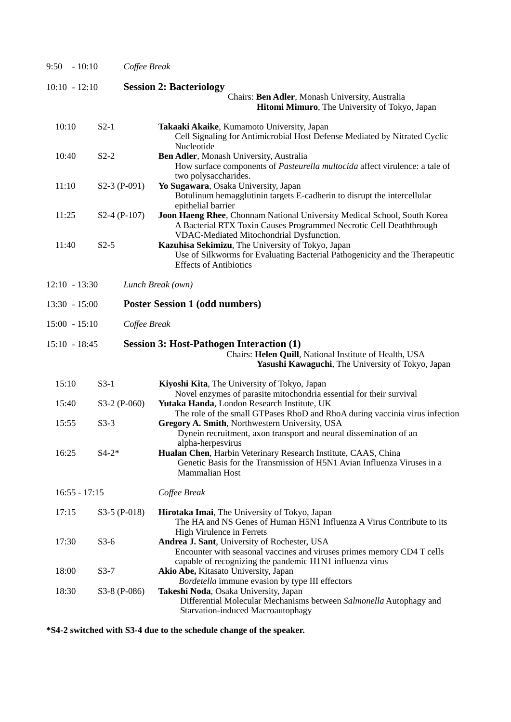| $-10:10$<br>9:50 |               | Coffee Break                                                                                                                                                                                      |  |  |  |
|------------------|---------------|---------------------------------------------------------------------------------------------------------------------------------------------------------------------------------------------------|--|--|--|
| $10:10 - 12:10$  |               | <b>Session 2: Bacteriology</b>                                                                                                                                                                    |  |  |  |
|                  |               | Chairs: Ben Adler, Monash University, Australia<br>Hitomi Mimuro, The University of Tokyo, Japan                                                                                                  |  |  |  |
| 10:10            | $S2-1$        | Takaaki Akaike, Kumamoto University, Japan<br>Cell Signaling for Antimicrobial Host Defense Mediated by Nitrated Cyclic<br>Nucleotide                                                             |  |  |  |
| 10:40            | $S2-2$        | Ben Adler, Monash University, Australia<br>How surface components of Pasteurella multocida affect virulence: a tale of<br>two polysaccharides.                                                    |  |  |  |
| 11:10            | S2-3 (P-091)  | Yo Sugawara, Osaka University, Japan<br>Botulinum hemagglutinin targets E-cadherin to disrupt the intercellular<br>epithelial barrier                                                             |  |  |  |
| 11:25            | $S2-4(P-107)$ | Joon Haeng Rhee, Chonnam National University Medical School, South Korea<br>A Bacterial RTX Toxin Causes Programmed Necrotic Cell Deaththrough<br>VDAC-Mediated Mitochondrial Dysfunction.        |  |  |  |
| 11:40            | $S2-5$        | Kazuhisa Sekimizu, The University of Tokyo, Japan<br>Use of Silkworms for Evaluating Bacterial Pathogenicity and the Therapeutic<br><b>Effects of Antibiotics</b>                                 |  |  |  |
| $12:10 - 13:30$  |               | Lunch Break (own)                                                                                                                                                                                 |  |  |  |
| $13:30 - 15:00$  |               | <b>Poster Session 1 (odd numbers)</b>                                                                                                                                                             |  |  |  |
| $15:00 - 15:10$  |               | Coffee Break                                                                                                                                                                                      |  |  |  |
| $15:10 - 18:45$  |               | <b>Session 3: Host-Pathogen Interaction (1)</b><br>Chairs: Helen Quill, National Institute of Health, USA<br>Yasushi Kawaguchi, The University of Tokyo, Japan                                    |  |  |  |
| 15:10            | $S3-1$        | Kiyoshi Kita, The University of Tokyo, Japan                                                                                                                                                      |  |  |  |
| 15:40            | S3-2 (P-060)  | Novel enzymes of parasite mitochondria essential for their survival<br>Yutaka Handa, London Research Institute, UK<br>The role of the small GTPases RhoD and RhoA during vaccinia virus infection |  |  |  |
| 15:55            | $S3-3$        | Gregory A. Smith, Northwestern University, USA<br>Dynein recruitment, axon transport and neural dissemination of an                                                                               |  |  |  |
| 16:25            | $S4-2*$       | alpha-herpesvirus<br>Hualan Chen, Harbin Veterinary Research Institute, CAAS, China<br>Genetic Basis for the Transmission of H5N1 Avian Influenza Viruses in a<br><b>Mammalian Host</b>           |  |  |  |
| $16:55 - 17:15$  |               | Coffee Break                                                                                                                                                                                      |  |  |  |
| 17:15            | S3-5 (P-018)  | Hirotaka Imai, The University of Tokyo, Japan<br>The HA and NS Genes of Human H5N1 Influenza A Virus Contribute to its                                                                            |  |  |  |
| 17:30            | $S3-6$        | High Virulence in Ferrets<br>Andrea J. Sant, University of Rochester, USA<br>Encounter with seasonal vaccines and viruses primes memory CD4 T cells                                               |  |  |  |
| 18:00            | $S3-7$        | capable of recognizing the pandemic H1N1 influenza virus<br>Akio Abe, Kitasato University, Japan<br>Bordetella immune evasion by type III effectors                                               |  |  |  |
| 18:30            | S3-8 (P-086)  | Takeshi Noda, Osaka University, Japan<br>Differential Molecular Mechanisms between Salmonella Autophagy and<br><b>Starvation-induced Macroautophagy</b>                                           |  |  |  |

**\*S4-2 switched with S3-4 due to the schedule change of the speaker.**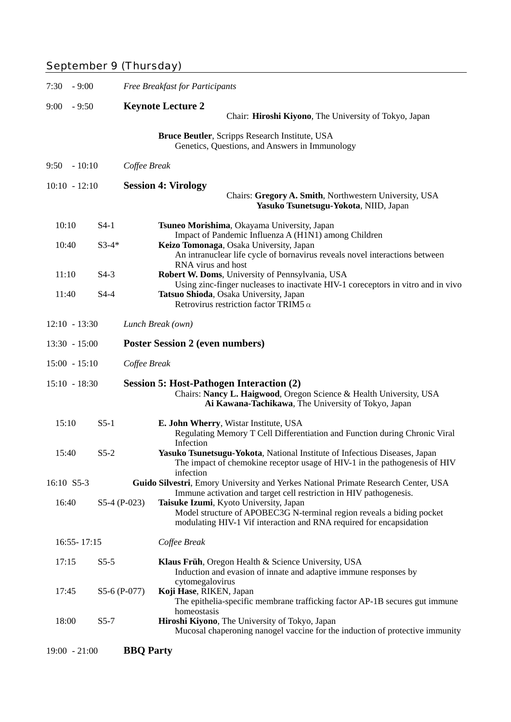## September 9 (Thursday)<br>
September 9 (Thursday)

| 7:30<br>$-9:00$ |                 |               | <b>Free Breakfast for Participants</b>                                                                                                                                                 |  |  |  |  |
|-----------------|-----------------|---------------|----------------------------------------------------------------------------------------------------------------------------------------------------------------------------------------|--|--|--|--|
| 9:00            | $-9:50$         |               | <b>Keynote Lecture 2</b><br>Chair: Hiroshi Kiyono, The University of Tokyo, Japan                                                                                                      |  |  |  |  |
|                 |                 |               | Bruce Beutler, Scripps Research Institute, USA<br>Genetics, Questions, and Answers in Immunology                                                                                       |  |  |  |  |
| 9:50            | $-10:10$        |               | Coffee Break                                                                                                                                                                           |  |  |  |  |
|                 | $10:10 - 12:10$ |               | <b>Session 4: Virology</b><br>Chairs: Gregory A. Smith, Northwestern University, USA<br>Yasuko Tsunetsugu-Yokota, NIID, Japan                                                          |  |  |  |  |
| 10:10           |                 | $S4-1$        | Tsuneo Morishima, Okayama University, Japan<br>Impact of Pandemic Influenza A (H1N1) among Children                                                                                    |  |  |  |  |
| 10:40           |                 | $S3-4*$       | Keizo Tomonaga, Osaka University, Japan<br>An intranuclear life cycle of bornavirus reveals novel interactions between<br>RNA virus and host                                           |  |  |  |  |
| 11:10           |                 | $S4-3$        | Robert W. Doms, University of Pennsylvania, USA<br>Using zinc-finger nucleases to inactivate HIV-1 coreceptors in vitro and in vivo                                                    |  |  |  |  |
| 11:40           |                 | $S4-4$        | Tatsuo Shioda, Osaka University, Japan<br>Retrovirus restriction factor TRIM5 $\alpha$                                                                                                 |  |  |  |  |
|                 | $12:10 - 13:30$ |               | Lunch Break (own)                                                                                                                                                                      |  |  |  |  |
|                 | $13:30 - 15:00$ |               | <b>Poster Session 2 (even numbers)</b>                                                                                                                                                 |  |  |  |  |
|                 | $15:00 - 15:10$ |               | Coffee Break                                                                                                                                                                           |  |  |  |  |
|                 | $15:10 - 18:30$ |               | <b>Session 5: Host-Pathogen Interaction (2)</b><br>Chairs: Nancy L. Haigwood, Oregon Science & Health University, USA<br>Ai Kawana-Tachikawa, The University of Tokyo, Japan           |  |  |  |  |
| 15:10           |                 | $S5-1$        | E. John Wherry, Wistar Institute, USA<br>Regulating Memory T Cell Differentiation and Function during Chronic Viral<br>Infection                                                       |  |  |  |  |
| 15:40           |                 | $S5-2$        | Yasuko Tsunetsugu-Yokota, National Institute of Infectious Diseases, Japan<br>The impact of chemokine receptor usage of HIV-1 in the pathogenesis of HIV<br>infection                  |  |  |  |  |
| 16:10 S5-3      |                 |               | Guido Silvestri, Emory University and Yerkes National Primate Research Center, USA<br>Immune activation and target cell restriction in HIV pathogenesis.                               |  |  |  |  |
| 16:40           |                 | $S5-4(P-023)$ | Taisuke Izumi, Kyoto University, Japan<br>Model structure of APOBEC3G N-terminal region reveals a biding pocket<br>modulating HIV-1 Vif interaction and RNA required for encapsidation |  |  |  |  |
| $16:55 - 17:15$ |                 |               | Coffee Break                                                                                                                                                                           |  |  |  |  |
| 17:15           |                 | $S5-5$        | Klaus Früh, Oregon Health & Science University, USA<br>Induction and evasion of innate and adaptive immune responses by<br>cytomegalovirus                                             |  |  |  |  |
| 17:45           |                 | S5-6 (P-077)  | Koji Hase, RIKEN, Japan<br>The epithelia-specific membrane trafficking factor AP-1B secures gut immune                                                                                 |  |  |  |  |
| 18:00           |                 | $S5-7$        | homeostasis<br>Hiroshi Kiyono, The University of Tokyo, Japan<br>Mucosal chaperoning nanogel vaccine for the induction of protective immunity                                          |  |  |  |  |
|                 | $19:00 - 21:00$ |               | <b>BBQ</b> Party                                                                                                                                                                       |  |  |  |  |